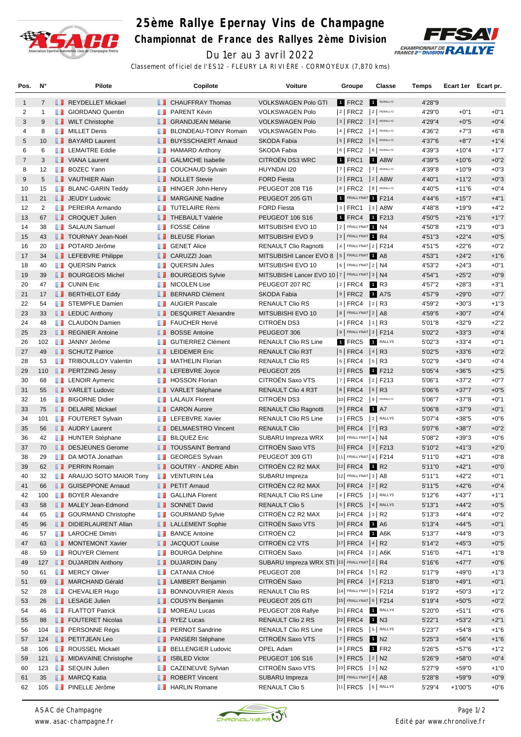

## **25ème Rallye Epernay Vins de Champagne**

**Championnat de France des Rallyes 2ème Division**



Du 1er au 3 avril 2022 Classement officiel de l'ES12 - FLEURY LA RIVIÈRE - CORMOYEUX (7,870 kms)

| Pos.           | N°             | Pilote                                 |                           | Copilote                                     | Voiture                                         | Groupe                                          | Classe           | Temps            | Ecart 1er Ecart pr. |                  |
|----------------|----------------|----------------------------------------|---------------------------|----------------------------------------------|-------------------------------------------------|-------------------------------------------------|------------------|------------------|---------------------|------------------|
| $\mathbf{1}$   | $\overline{7}$ | REYDELLET Mickael                      |                           | <b>CHAUFFRAY Thomas</b>                      | <b>VOLKSWAGEN Polo GTI</b>                      | 1 FRC2                                          | R5/RALLY2        | 4'28"9           |                     |                  |
| 2              | $\mathbf{1}$   | <b>B</b> GIORDANO Quentin              | <b>The Co</b>             | PARENT Kévin                                 | <b>VOLKSWAGEN Polo</b>                          | 2   FRC2                                        | $2$ R5/RALLY2    | 4'29"0           | $+0"1$              | $+0"1$           |
| 3              | 9              | <b>WILT Christophe</b>                 |                           | <b>B</b> GRANDJEAN Mélanie                   | <b>VOLKSWAGEN Polo</b>                          | 3 FRC2 3 R5/RALLY2                              |                  | 4'29"4           | $+0"5$              | $+0"4$           |
| 4              | 8              | <b>NILLET</b> Denis                    | ш                         | BLONDEAU-TOINY Romain                        | <b>VOLKSWAGEN Polo</b>                          | 4 FRC2                                          | $4$ R5/RALLY2    | 4'36"2           | $+7"3$              | $+6"8$           |
| 5              | 10             | <b>BAYARD Laurent</b>                  |                           | <b>BUYSSCHAERT Arnaud</b>                    | SKODA Fabia                                     | 5   FRC2   5   R5/RALLY2                        |                  | 4'37"6           | $+8"7$              | $+1"4$           |
| 6              | 6              | <b>LEMAITRE Eddie</b>                  |                           | <b>EXP</b> HAMARD Anthony                    | SKODA Fabia                                     | $6$ FRC2                                        | 6 R5/RALLY2      | 4'39"3           | $+10"4$             | $+1"7$           |
| $\overline{7}$ | 3              | <b>T</b> VIANA Laurent                 |                           | <b>B</b> GALMICHE Isabelle                   | <b>CITROËN DS3 WRC</b>                          | <b>1 FRC1</b>                                   | <b>1 A8W</b>     | 4'39"5           | $+10"6$             | $+0"2$           |
| 8              | 12             | <b>BOZEC Yann</b>                      |                           | <b>COUCHAUD Sylvain</b>                      | HUYNDAI I20                                     | $ 7 $ FRC2                                      | 7 R5/RALLY2      | 4'39"8           | $+10"9$             | $+0"3$           |
| 9              | 5              | VAUTHIER Alain                         |                           | <b>NOLLET</b> Stevie                         | <b>FORD Fiesta</b>                              | $ 2 $ FRC1                                      | $ 2 $ A8W        | 4'40"1           | $+11"2$             | $+0"3$           |
| 10             | 15             | <b>BLANC-GARIN Teddy</b>               | ш                         | <b>HINGER John-Henry</b>                     | PEUGEOT 208 T16                                 | $8$ FRC2                                        | 8 R5/RALLY2      | 4'40"5           | $+11"6$             | $+0"4$           |
| 11             | 21             | <b>JEUDY Ludovic</b>                   |                           | MARGAINE Nadine                              | PEUGEOT 205 GTI                                 | 1 FRALLYNAT 1 F214                              |                  | 4'44"6           | $+15"7$             | $+4"1$           |
| 12             | 2              | <b>FREIRA</b> Armando                  |                           | <b>TUTELAIRE Rémi</b>                        | <b>FORD Fiesta</b>                              | 3   FRC1                                        | $ 3 $ A8W        | 4'48"8           | $+19"9$             | $+4"2$           |
| 13             | 67             | <b>CROQUET Julien</b>                  |                           | <b>THEBAULT Valérie</b>                      | <b>PEUGEOT 106 S16</b>                          | <b>1</b> FRC4                                   | 1 F213           | 4'50"5           | $+21"6$             | $+1"7$           |
| 14             | 38             | <b>B</b> SALAUN Samuel                 |                           | <b>FOSSE Céline</b>                          | MITSUBISHI EVO 10                               | 2 FRALLYNAT 1 N4                                |                  | 4'50"8           | $+21"9$             | $+0"3$           |
| 15             | 43             | <b>TOURNAY Jean-Noël</b>               |                           | <b>BLEUSE Florian</b>                        | MITSUBISHI EVO 9                                | 3 FRALLYNAT 1 R4                                |                  | 4'51"3           | $+22"4$             | $+0"5$           |
| 16             | 20             | <b>POTARD Jérôme</b>                   | ш                         | <b>GENET Alice</b>                           | <b>RENAULT Clio Ragnotti</b>                    | 4   FRALLYNAT 2   F214                          |                  | 4'51"5           | $+22"6$             | $+0"2$           |
| 17             | 34             | <b>LEFEBVRE Philippe</b>               |                           | <b>CARUZZI Joan</b>                          | MITSUBISHI Lancer EVO 8   5   FRALLYNAT 1 A8    |                                                 |                  | 4'53"1           | $+24"2$             | $+1"6$           |
| 18             | 40             | <b>QUERSIN Patrick</b>                 | <b>The Co</b>             | <b>QUERSIN Jules</b>                         | MITSUBISHI EVO 10                               | $6$ FRALLYNAT 2   N4                            |                  | 4'53"2           | $+24"3$             | $+0"1$           |
| 19             | 39             | <b>BOURGEOIS Michel</b>                | <b>IL 1</b>               | <b>BOURGEOIS Sylvie</b>                      | MITSUBISHI Lancer EVO 10   7   FRALLYNAT 3   N4 |                                                 |                  | 4'54"1           | $+25"2$             | $+0"9$           |
| 20             | 47             | <b>B</b> CUNIN Eric                    |                           | <b>NICOLEN Lise</b>                          | PEUGEOT 207 RC                                  | 2   FRC4                                        | 1 R3             | 4'57"2           | $+28"3$             | $+3"1$           |
| 21             | 17             | <b>BERTHELOT Eddy</b>                  | ш                         | <b>BERNARD Clément</b>                       | <b>SKODA Fabia</b>                              | 9   FRC2                                        | <b>1</b> A7S     | 4'57"9           | $+29"0$             | $+0"7$           |
| 22             | 54             | STEMPFLE Damien                        | ш                         | <b>AUGIER Pascale</b>                        | <b>RENAULT Clio RS</b>                          | 3   FRC4                                        | $ 2 $ R3         | 4'59"2           | $+30"3$             | $+1"3$           |
| 23             | 33             | <b>EDUC</b> Anthony                    |                           | DESQUIRET Alexandre                          | MITSUBISHI EVO 10                               | 8 FRALLYNAT 2 A8                                |                  | 4'59"6           | $+30"7$             | $+0"4$           |
| 24             | 48             | <b>CLAUDON Damien</b>                  | <b>The Second Service</b> | <b>FAUCHER Hervé</b><br><b>BOSSE</b> Antoine | CITROËN DS3                                     | $ 4 $ FRC4 $ 3 $ R3<br>$ 9 $ Frallynat $3 F214$ |                  | 5'01"8           | $+32"9$             | $+2"2$<br>$+0"4$ |
| 25<br>26       | 23<br>102      | REGNIER Antoine<br><b>JANNY Jérôme</b> |                           | <b>GUTIERREZ Clément</b>                     | PEUGEOT 306<br><b>RENAULT Clio RS Line</b>      | 1 FRC5                                          | RALLY5           | 5'02"2<br>5'02"3 | $+33"3$<br>$+33"4$  | $+0"1$           |
| 27             | 49             | SCHUTZ Patrice                         | п.                        | <b>EXECUTED</b> LEIDEMER Eric                | <b>RENAULT Clio R3T</b>                         | $ 5 $ FRC4                                      | $ 4 $ R3         | 5'02"5           | $+33"6$             | $+0"2$           |
| 28             | 53             | <b>TRIBOUILLOY Valentin</b>            | <b>The Co</b>             | <b>MATHELIN Florian</b>                      | <b>RENAULT Clio RS</b>                          | $6$ FRC4                                        | $ 5 $ R3         | 5'02"9           | $+34"0$             | $+0"4$           |
| 29             | 110            | <b>PERTZING Jessy</b>                  |                           | <b>LEFEBVRE</b> Joyce                        | PEUGEOT 205                                     | $ 2 $ FRC5                                      | 1 F212           | 5'05"4           | $+36"5$             | $+2"5$           |
| 30             | 68             | <b>LENOIR Aymeric</b>                  |                           | <b>THOSSON Florian</b>                       | CITROËN Saxo VTS                                | 7   FRC4                                        | $ 2 $ F213       | 5'06"1           | $+37"2$             | $+0"7$           |
| 31             | 55             | VARLET Ludovic                         |                           | <b>T</b> VARLET Stéphane                     | RENAULT Clio 4 R3T                              | $ 8 $ FRC4 $ 6 $ R3                             |                  | 5'06"6           | $+37"7$             | $+0"5$           |
| 32             | 16             | <b>BIGORNE Didier</b>                  | ш                         | <b>LALAUX Florent</b>                        | CITROËN DS3                                     | 10 FRC2                                         | $9$ R5/RALLY2    | 5'06"7           | $+37"8$             | $+0"1$           |
| 33             | 75             | DELAIRE Mickael                        |                           | <b>CARON Aurore</b>                          | <b>RENAULT Clio Ragnotti</b>                    | $ 9 $ FRC4                                      | 1 A7             | 5'06"8           | $+37"9$             | $+0"1$           |
| 34             | 101            | <b>FOUTERET Sylvain</b>                |                           | <b>EXAMPLE FEBVRE Xavier</b>                 | <b>RENAULT Clio RS Line</b>                     | $3$ FRC5                                        | 2 RALLY5         | 5'07"4           | $+38"5$             | $+0"6$           |
| 35             | 56             | <b>AUDRY Laurent</b>                   | . .                       | <b>DELMAESTRO Vincent</b>                    | <b>RENAULT Clio</b>                             | $ 10 $ FRC4 $ 7 $ R3                            |                  | 5'07"6           | $+38"7$             | $+0"2$           |
| 36             | 42             | HUNTER Stéphane                        | <b>The Co</b>             | <b>BILQUEZ Eric</b>                          | SUBARU Impreza WRX                              | 10 FRALLYNAT 4 N4                               |                  | 5'08"2           | $+39"3$             | $+0"6$           |
| 37             | 70             | DESJEUNES Gerome                       |                           | <b>T</b> TOUSSAINT Bertrand                  | CITROËN Saxo VTS                                | $ 11 $ FRC4 $ 3 $ F213                          |                  | 5'10"2           | $+41"3$             | $+2"0$           |
| 38             | 29             | DA MOTA Jonathan                       | <b>II</b>                 | <b>GEORGES Sylvain</b>                       | PEUGEOT 309 GTI                                 | 11 FRALLYNAT 4   F214                           |                  | 5'11"0           | $+42"1$             | $+0"8$           |
| 39             | 62             | <b>FRERRIN</b> Romain                  |                           | <b>B</b> GOUTRY - ANDRE Albin                | CITROËN C2 R2 MAX                               | 12 FRC4                                         | 1 R <sub>2</sub> | 5'11"0           | $+42"1$             | $+0"0$           |
| 40             | 32             | <b>ARAUJO SOTO MAIOR Tony</b>          |                           | <b>TE</b> VENTURIN Léa                       | SUBARU Impreza                                  | 12 FRALLYNAT 3   A8                             |                  | 5'11''1          | $+42"2$             | $+0"1$           |
| 41             | 66             | <b>B</b> GUISEPPONE Arnaud             |                           | <b>PETIT Arnaud</b>                          | CITROEN C2 R2 MAX                               | $ 13 $ FRC4 $ 2 $ R2                            |                  | 5'11"5           | $+42"6$             | $+0"4$           |
| 42             | 100            | <b>BOYER Alexandre</b>                 |                           | <b>B</b> GALLINA Florent                     | RENAULT Clio RS Line                            | $ 4 $ FRC5                                      | $3$ RALLY5       | 5'12"6           | $+43"7$             | $+1"1$           |
| 43             | 58             | MALEY Jean-Edmond                      |                           | SONNET David                                 | <b>RENAULT Clio 5</b>                           | $ 5 $ FRC5 $ 4 $ RALLY5                         |                  | 5'13"1           | $+44"2$             | $+0"5$           |
| 44             | 65             | <b>B</b> GOURMAND Christophe           | II.                       | <b>GOURMAND Sylvie</b>                       | CITROEN C2 R2 MAX                               | 14 FRC4                                         | 3 R2             | 5'13"3           | +44"4               | $+0"2$           |
| 45             | 96             | DIDIERLAURENT Allan                    |                           | <b>LE</b> LALLEMENT Sophie                   | CITROËN Saxo VTS                                | $ 15 $ FRC4                                     | 1 A6             | 5'13''4          | $+44"5$             | $+0"1$           |
| 46             | 57             | <b>LAROCHE Dimitri</b>                 | <b>The Co</b>             | <b>BANCE Antoine</b>                         | CITROËN C2                                      | <sup>16</sup> FRC4                              | 1 A6K            | 5'13"7           | $+44"8$             | $+0"3$           |
| 47             | 63             | MONTEMONT Xavier                       |                           | <b>JACQUOT Louise</b>                        | CITROËN C2 VTS                                  | $ 17 $ FRC4 $ 4 $ R2                            |                  | 5'14"2           | $+45"3$             | $+0"5$           |
| 48             | 59             | ROUYER Clément                         | m                         | <b>BOURGA Delphine</b>                       | CITROËN Saxo                                    | 18 FRC4   2   A6K                               |                  | 5'16"0           | $+47"1$             | $+1"8$           |
| 49             | 127            | <b>DUJARDIN Anthony</b>                |                           | <b>DUJARDIN Dany</b>                         | SUBARU Impreza WRX STI  13 FRALLYNAT 2   R4     |                                                 |                  | 5'16"6           | $+47"7$             | $+0"6$           |
| 50             | 61             | <b>NERCY Olivier</b>                   | ш                         | <b>CATANIA Chloé</b>                         | PEUGEOT 208                                     | 19 FRC4                                         | $ 5 $ R2         | 5'17"9           | +49"0               | $+1"3$           |
| 51             | 69             | MARCHAND Gérald                        |                           | <b>LAMBERT Benjamin</b>                      | CITROËN Saxo                                    | $ 20 $ FRC4 $ 4 $ F213                          |                  | 5'18"0           | $+49"1$             | $+0"1$           |
| 52             | 28             | <b>CHEVALIER Hugo</b>                  | ш                         | <b>BONNOUVRIER Alexis</b>                    | RENAULT Clio RS                                 | 14 FRALLYNAT 5   F214                           |                  | 5'19"2           | $+50"3$             | $+1"2$           |
| 53             | 26             | <b>LESAGE Julien</b>                   |                           | COUSYN Benjamin                              | PEUGEOT 205 GTI                                 | 15 FRALLYNAT 6   F214                           |                  | 5'19"4           | $+50"5$             | $+0"2$           |
| 54             | 46             | <b>FLATTOT Patrick</b>                 |                           | <b>NOREAU Lucas</b>                          | PEUGEOT 208 Rallye                              | 21 FRC4                                         | RALLY4           | 5'20"0           | $+51"1$             | $+0"6$           |
| 55             | 88             | <b>FOUTERET Nicolas</b>                | ш                         | <b>RYEZ Lucas</b>                            | RENAULT Clio 2 RS                               | $ 22 $ FRC4                                     | 1 N3             | 5'22"1           | $+53"2$             | $+2"1$           |
| 56             | 104            | <b>FRSONNE Régis</b>                   | ш                         | PERNOT Sandrine                              | RENAULT Clio RS Line                            | $ 6 $ FRC5                                      | 5 RALLY5         | 5'23"7           | $+54"8$             | $+1"6$           |
| 57             | 124            | <b>FETITJEAN Leo</b>                   |                           | <b>PANSERI</b> Stéphane                      | CITROËN Saxo VTS                                | $ 7 $ FRC5                                      | 1 N2             | 5'25"3           | $+56"4$             | $+1"6$           |
| 58             | 106            | ROUSSEL Mickaël                        | <b>The Co</b>             | <b>BELLENGIER Ludovic</b>                    | OPEL Adam                                       | $ 8 $ FRC5 1 FR2                                |                  | 5'26"5           | $+57"6$             | $+1"2$           |
| 59             | 121            | <b>MIDAVAINE Christophe</b>            |                           | <b>B</b> ISBLED Victor                       | PEUGEOT 106 S16                                 | $ 9 $ FRC5 $ 2 $ N2                             |                  | 5'26"9           | $+58"0$             | $+0"4$           |
| 60             | 123            | <b>SEQUIN Julien</b>                   |                           | CAZENEUVE Sylvian                            | CITROËN Saxo VTS                                | 10 FRC5 3 N2                                    |                  | 5'27"9           | $+59"0$             | $+1"0$           |
| 61             | 35             | <b>NARCQ Katia</b>                     |                           | ROBERT Vincent                               | SUBARU Impreza                                  | $ 16 $ FRALLYNAT 4   A8                         |                  | 5'28"8           | $+59"9$             | $+0"9$           |
| 62             | 105            | <b>Fi</b> PINELLE Jérôme               |                           | <b>T</b> HARLIN Romane                       | <b>RENAULT Clio 5</b>                           | 11 FRC5 6 RALLY5                                |                  | 5'29"4           | $+1'00"5$           | $+0"6$           |